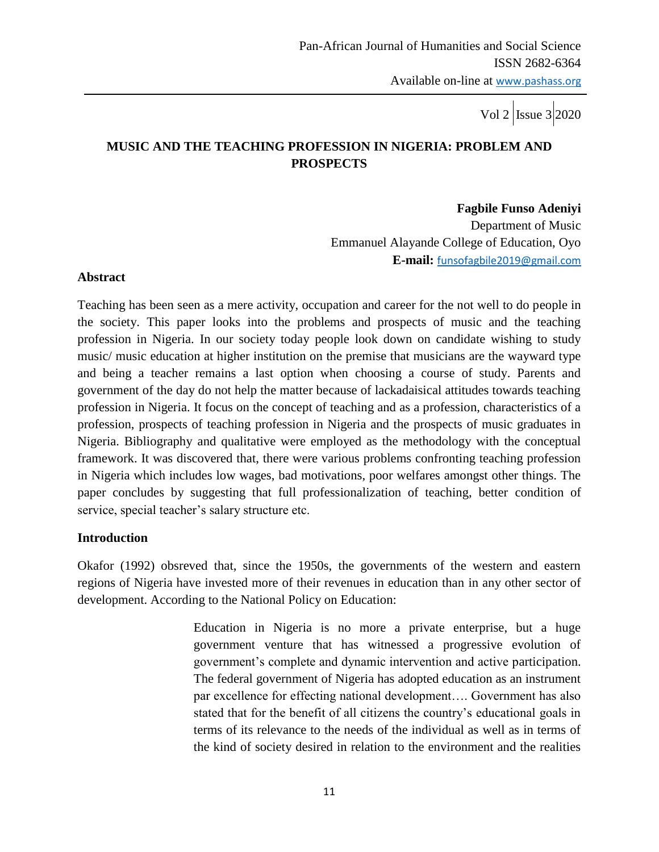Vol 2 | Issue  $3$  | 2020

# **MUSIC AND THE TEACHING PROFESSION IN NIGERIA: PROBLEM AND PROSPECTS**

 **Fagbile Funso Adeniyi**

Department of Music Emmanuel Alayande College of Education, Oyo **E-mail:** [funsofagbile2019@gmail.com](mailto:funsofagbile2019@gmail.com)

#### **Abstract**

Teaching has been seen as a mere activity, occupation and career for the not well to do people in the society. This paper looks into the problems and prospects of music and the teaching profession in Nigeria. In our society today people look down on candidate wishing to study music/ music education at higher institution on the premise that musicians are the wayward type and being a teacher remains a last option when choosing a course of study. Parents and government of the day do not help the matter because of lackadaisical attitudes towards teaching profession in Nigeria. It focus on the concept of teaching and as a profession, characteristics of a profession, prospects of teaching profession in Nigeria and the prospects of music graduates in Nigeria. Bibliography and qualitative were employed as the methodology with the conceptual framework. It was discovered that, there were various problems confronting teaching profession in Nigeria which includes low wages, bad motivations, poor welfares amongst other things. The paper concludes by suggesting that full professionalization of teaching, better condition of service, special teacher's salary structure etc.

### **Introduction**

Okafor (1992) obsreved that, since the 1950s, the governments of the western and eastern regions of Nigeria have invested more of their revenues in education than in any other sector of development. According to the National Policy on Education:

> Education in Nigeria is no more a private enterprise, but a huge government venture that has witnessed a progressive evolution of government's complete and dynamic intervention and active participation. The federal government of Nigeria has adopted education as an instrument par excellence for effecting national development…. Government has also stated that for the benefit of all citizens the country's educational goals in terms of its relevance to the needs of the individual as well as in terms of the kind of society desired in relation to the environment and the realities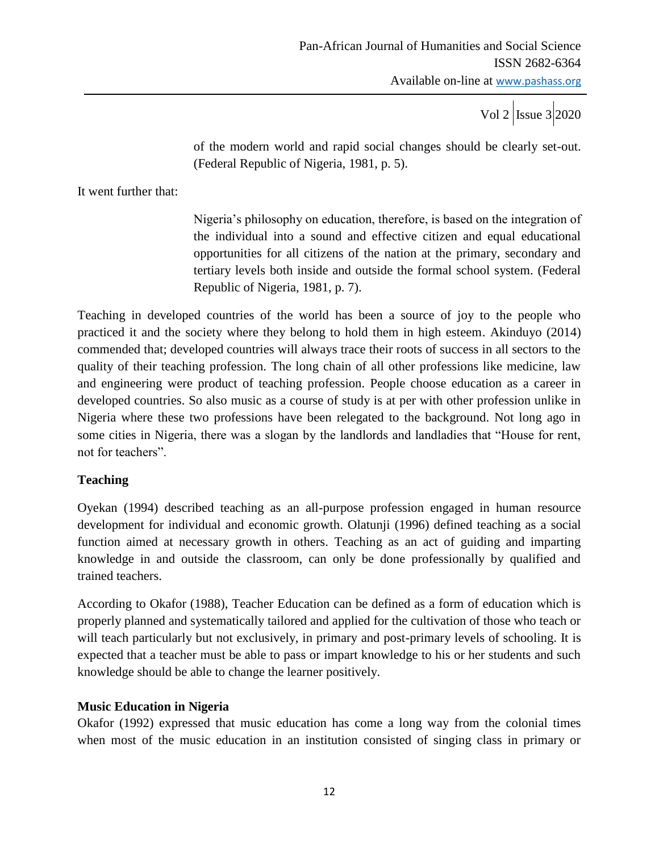of the modern world and rapid social changes should be clearly set-out. (Federal Republic of Nigeria, 1981, p. 5).

It went further that:

Nigeria's philosophy on education, therefore, is based on the integration of the individual into a sound and effective citizen and equal educational opportunities for all citizens of the nation at the primary, secondary and tertiary levels both inside and outside the formal school system. (Federal Republic of Nigeria, 1981, p. 7).

Teaching in developed countries of the world has been a source of joy to the people who practiced it and the society where they belong to hold them in high esteem. Akinduyo (2014) commended that; developed countries will always trace their roots of success in all sectors to the quality of their teaching profession. The long chain of all other professions like medicine, law and engineering were product of teaching profession. People choose education as a career in developed countries. So also music as a course of study is at per with other profession unlike in Nigeria where these two professions have been relegated to the background. Not long ago in some cities in Nigeria, there was a slogan by the landlords and landladies that "House for rent, not for teachers".

### **Teaching**

Oyekan (1994) described teaching as an all-purpose profession engaged in human resource development for individual and economic growth. Olatunji (1996) defined teaching as a social function aimed at necessary growth in others. Teaching as an act of guiding and imparting knowledge in and outside the classroom, can only be done professionally by qualified and trained teachers.

According to Okafor (1988), Teacher Education can be defined as a form of education which is properly planned and systematically tailored and applied for the cultivation of those who teach or will teach particularly but not exclusively, in primary and post-primary levels of schooling. It is expected that a teacher must be able to pass or impart knowledge to his or her students and such knowledge should be able to change the learner positively.

### **Music Education in Nigeria**

Okafor (1992) expressed that music education has come a long way from the colonial times when most of the music education in an institution consisted of singing class in primary or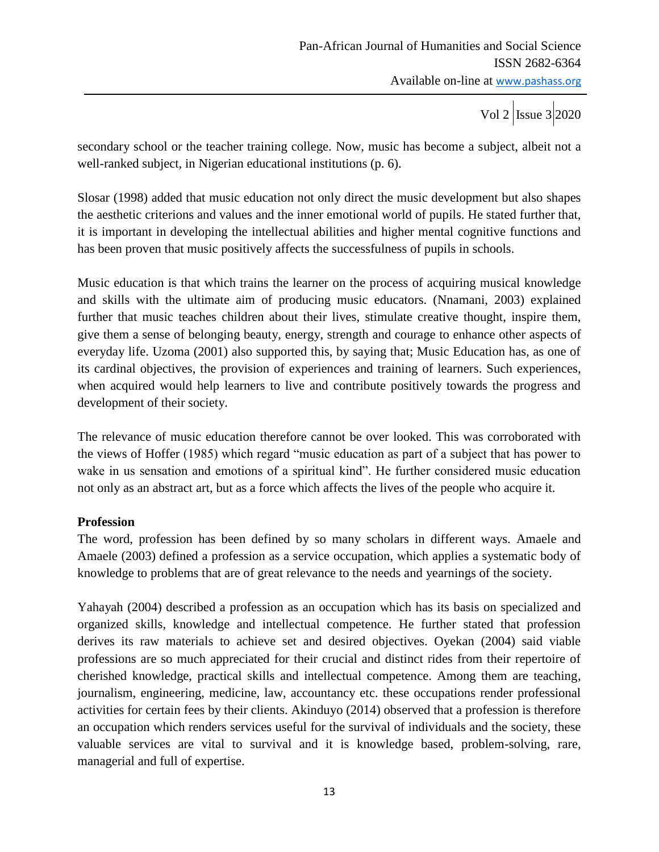secondary school or the teacher training college. Now, music has become a subject, albeit not a well-ranked subject, in Nigerian educational institutions (p. 6).

Slosar (1998) added that music education not only direct the music development but also shapes the aesthetic criterions and values and the inner emotional world of pupils. He stated further that, it is important in developing the intellectual abilities and higher mental cognitive functions and has been proven that music positively affects the successfulness of pupils in schools.

Music education is that which trains the learner on the process of acquiring musical knowledge and skills with the ultimate aim of producing music educators. (Nnamani, 2003) explained further that music teaches children about their lives, stimulate creative thought, inspire them, give them a sense of belonging beauty, energy, strength and courage to enhance other aspects of everyday life. Uzoma (2001) also supported this, by saying that; Music Education has, as one of its cardinal objectives, the provision of experiences and training of learners. Such experiences, when acquired would help learners to live and contribute positively towards the progress and development of their society.

The relevance of music education therefore cannot be over looked. This was corroborated with the views of Hoffer (1985) which regard "music education as part of a subject that has power to wake in us sensation and emotions of a spiritual kind". He further considered music education not only as an abstract art, but as a force which affects the lives of the people who acquire it.

### **Profession**

The word, profession has been defined by so many scholars in different ways. Amaele and Amaele (2003) defined a profession as a service occupation, which applies a systematic body of knowledge to problems that are of great relevance to the needs and yearnings of the society.

Yahayah (2004) described a profession as an occupation which has its basis on specialized and organized skills, knowledge and intellectual competence. He further stated that profession derives its raw materials to achieve set and desired objectives. Oyekan (2004) said viable professions are so much appreciated for their crucial and distinct rides from their repertoire of cherished knowledge, practical skills and intellectual competence. Among them are teaching, journalism, engineering, medicine, law, accountancy etc. these occupations render professional activities for certain fees by their clients. Akinduyo (2014) observed that a profession is therefore an occupation which renders services useful for the survival of individuals and the society, these valuable services are vital to survival and it is knowledge based, problem-solving, rare, managerial and full of expertise.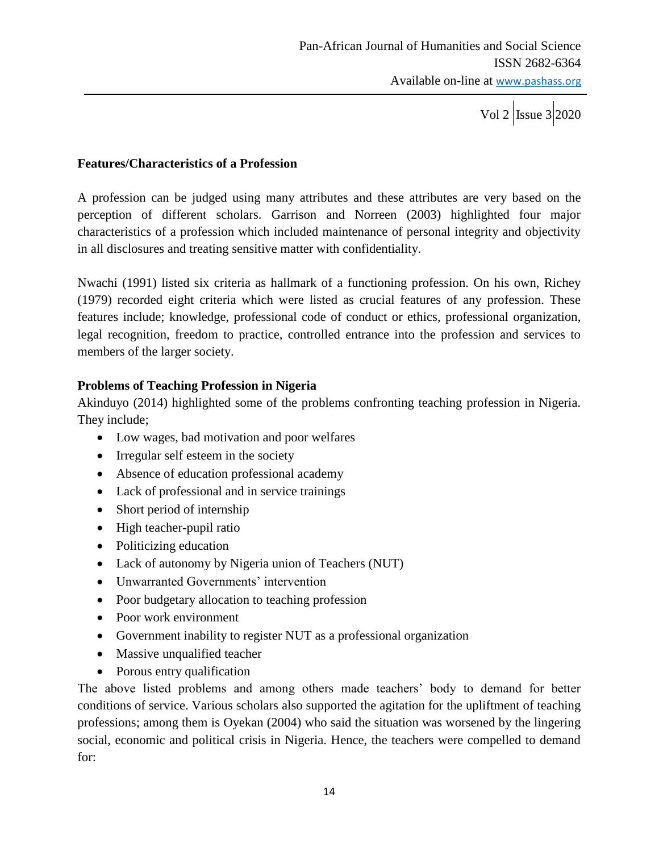#### **Features/Characteristics of a Profession**

A profession can be judged using many attributes and these attributes are very based on the perception of different scholars. Garrison and Norreen (2003) highlighted four major characteristics of a profession which included maintenance of personal integrity and objectivity in all disclosures and treating sensitive matter with confidentiality.

Nwachi (1991) listed six criteria as hallmark of a functioning profession. On his own, Richey (1979) recorded eight criteria which were listed as crucial features of any profession. These features include; knowledge, professional code of conduct or ethics, professional organization, legal recognition, freedom to practice, controlled entrance into the profession and services to members of the larger society.

### **Problems of Teaching Profession in Nigeria**

Akinduyo (2014) highlighted some of the problems confronting teaching profession in Nigeria. They include;

- Low wages, bad motivation and poor welfares
- Irregular self esteem in the society
- Absence of education professional academy
- Lack of professional and in service trainings
- Short period of internship
- $\bullet$  High teacher-pupil ratio
- Politicizing education
- Lack of autonomy by Nigeria union of Teachers (NUT)
- Unwarranted Governments' intervention
- Poor budgetary allocation to teaching profession
- Poor work environment
- Government inability to register NUT as a professional organization
- Massive unqualified teacher
- Porous entry qualification

The above listed problems and among others made teachers' body to demand for better conditions of service. Various scholars also supported the agitation for the upliftment of teaching professions; among them is Oyekan (2004) who said the situation was worsened by the lingering social, economic and political crisis in Nigeria. Hence, the teachers were compelled to demand for: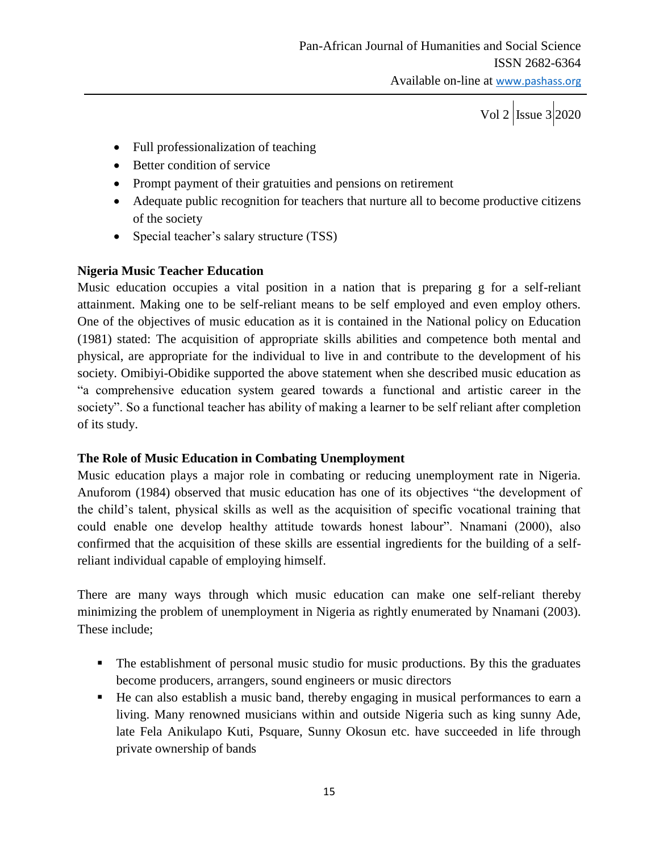- Full professionalization of teaching
- Better condition of service
- Prompt payment of their gratuities and pensions on retirement
- Adequate public recognition for teachers that nurture all to become productive citizens of the society
- Special teacher's salary structure (TSS)

### **Nigeria Music Teacher Education**

Music education occupies a vital position in a nation that is preparing g for a self-reliant attainment. Making one to be self-reliant means to be self employed and even employ others. One of the objectives of music education as it is contained in the National policy on Education (1981) stated: The acquisition of appropriate skills abilities and competence both mental and physical, are appropriate for the individual to live in and contribute to the development of his society. Omibiyi-Obidike supported the above statement when she described music education as "a comprehensive education system geared towards a functional and artistic career in the society". So a functional teacher has ability of making a learner to be self reliant after completion of its study.

### **The Role of Music Education in Combating Unemployment**

Music education plays a major role in combating or reducing unemployment rate in Nigeria. Anuforom (1984) observed that music education has one of its objectives "the development of the child's talent, physical skills as well as the acquisition of specific vocational training that could enable one develop healthy attitude towards honest labour". Nnamani (2000), also confirmed that the acquisition of these skills are essential ingredients for the building of a selfreliant individual capable of employing himself.

There are many ways through which music education can make one self-reliant thereby minimizing the problem of unemployment in Nigeria as rightly enumerated by Nnamani (2003). These include;

- The establishment of personal music studio for music productions. By this the graduates become producers, arrangers, sound engineers or music directors
- He can also establish a music band, thereby engaging in musical performances to earn a living. Many renowned musicians within and outside Nigeria such as king sunny Ade, late Fela Anikulapo Kuti, Psquare, Sunny Okosun etc. have succeeded in life through private ownership of bands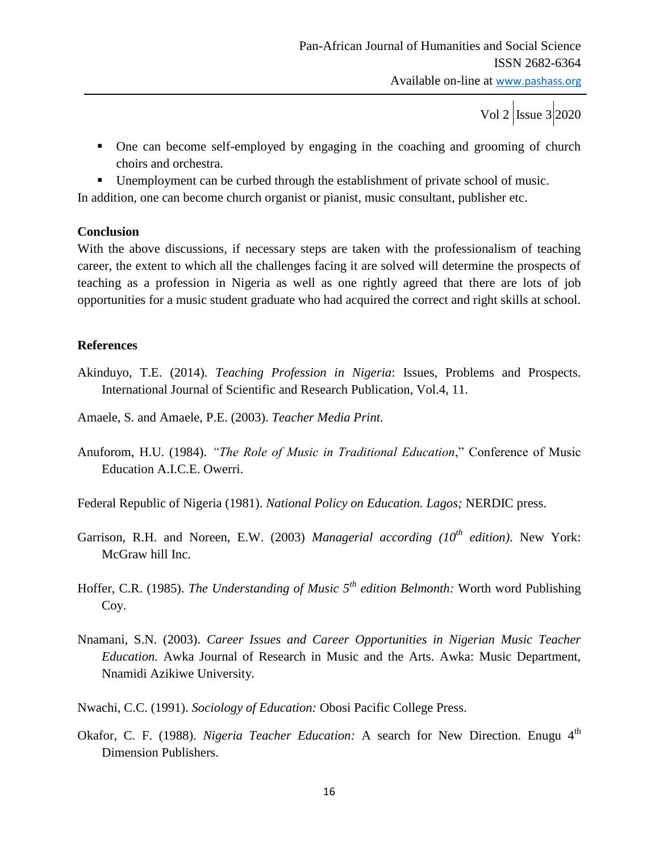Vol 2 | Issue  $3$  | 2020

- One can become self-employed by engaging in the coaching and grooming of church choirs and orchestra.
- Unemployment can be curbed through the establishment of private school of music.

In addition, one can become church organist or pianist, music consultant, publisher etc.

### **Conclusion**

With the above discussions, if necessary steps are taken with the professionalism of teaching career, the extent to which all the challenges facing it are solved will determine the prospects of teaching as a profession in Nigeria as well as one rightly agreed that there are lots of job opportunities for a music student graduate who had acquired the correct and right skills at school.

## **References**

Akinduyo, T.E. (2014). *Teaching Profession in Nigeria*: Issues, Problems and Prospects. International Journal of Scientific and Research Publication, Vol.4, 11.

Amaele, S. and Amaele, P.E. (2003). *Teacher Media Print.*

Anuforom, H.U. (1984). *"The Role of Music in Traditional Education*," Conference of Music Education A.I.C.E. Owerri.

Federal Republic of Nigeria (1981). *National Policy on Education. Lagos;* NERDIC press.

- Garrison, R.H. and Noreen, E.W. (2003) *Managerial according (10th edition)*. New York: McGraw hill Inc.
- Hoffer, C.R. (1985). *The Understanding of Music 5th edition Belmonth:* Worth word Publishing Coy.
- Nnamani, S.N. (2003). *Career Issues and Career Opportunities in Nigerian Music Teacher Education.* Awka Journal of Research in Music and the Arts. Awka: Music Department, Nnamidi Azikiwe University.
- Nwachi, C.C. (1991). *Sociology of Education:* Obosi Pacific College Press.
- Okafor, C. F. (1988). *Nigeria Teacher Education:* A search for New Direction. Enugu 4<sup>th</sup> Dimension Publishers.